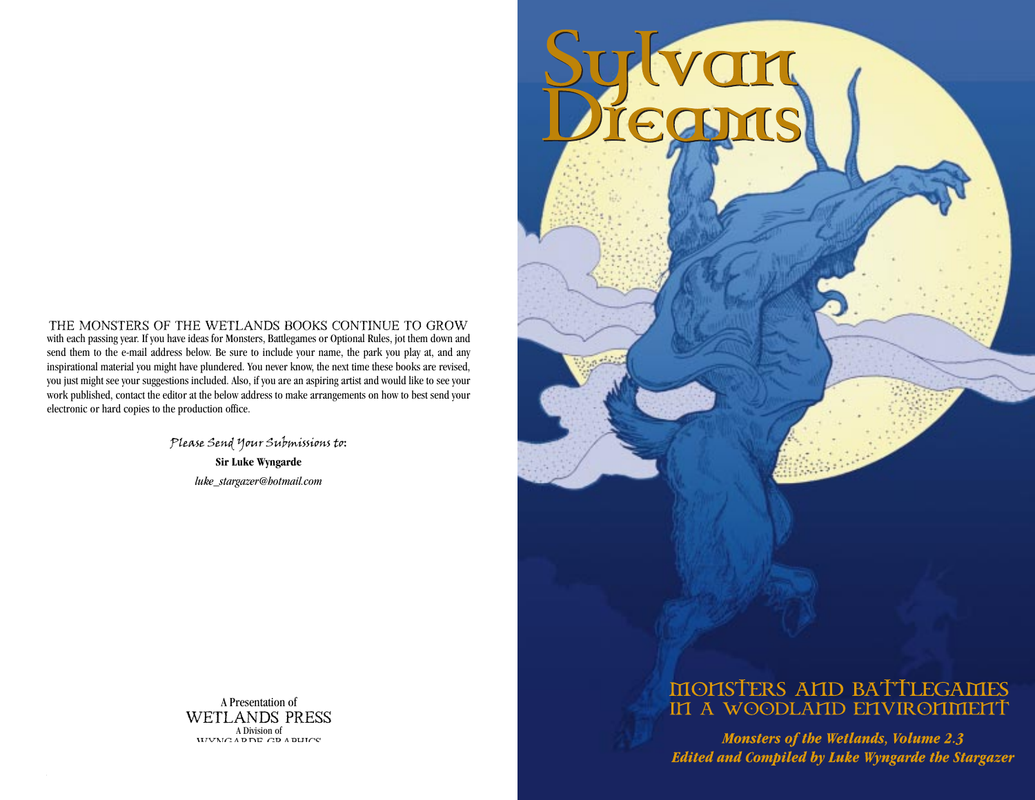with each passing year. If you have ideas for Monsters, Battlegames or Optional Rules, jot them down and send them to the e-mail address below. Be sure to include your name, the park you play at, and any inspirational material you might have plundered. You never know, the next time these books are revised, you just might see your suggestions included. Also, if you are an aspiring artist and would like to see your work published, contact the editor at the below address to make arrangements on how to best send your electronic or hard copies to the production office. The Monsters of the Wetlands Books continue to grow

> Please Send Your Submissions to: **Sir Luke Wyngarde** *luke\_stargazer@hotmail.com*



*Sylvan Dreams 24 1 Monsters of the Wetlands 2.3*

# MONSTERS AND BATTLEGAMES IN A WOODLAND ENVIRONMENT

**Monsters of the Wetlands, Volume 2.3 Edited and Compiled by Luke Wyngarde the Stargazer**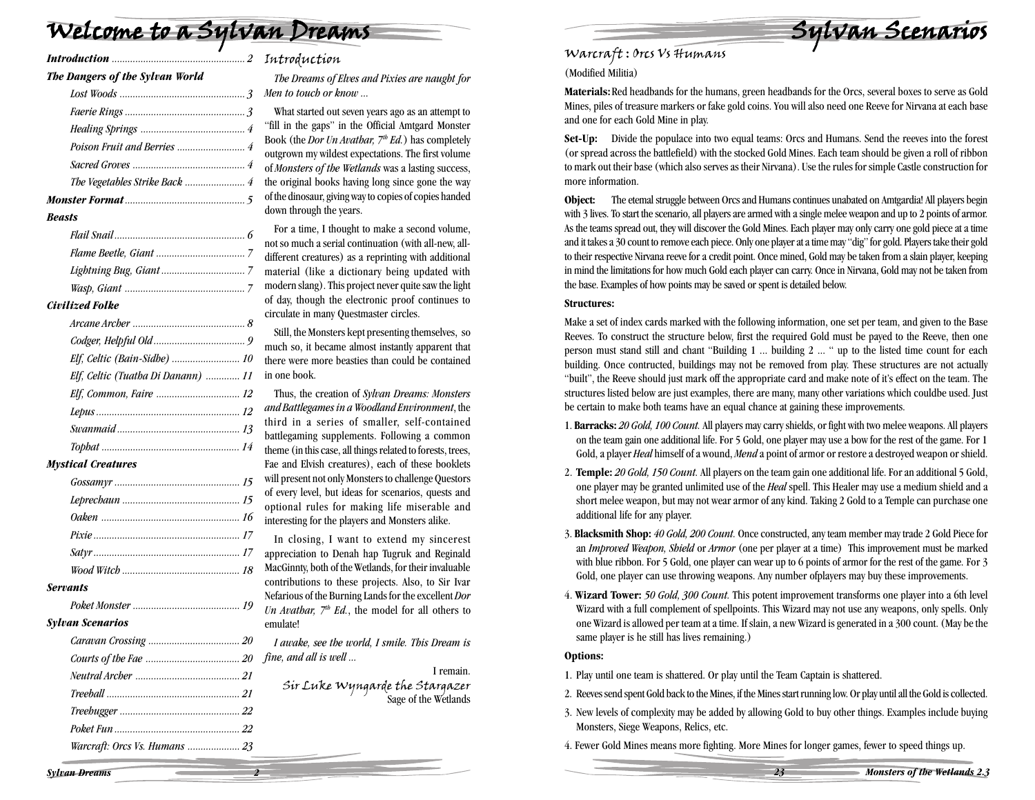# Welcome to a Sylvan Dreams

| The Dangers of the Sylvan World    |  |
|------------------------------------|--|
|                                    |  |
|                                    |  |
|                                    |  |
|                                    |  |
|                                    |  |
|                                    |  |
|                                    |  |
| <b>Beasts</b>                      |  |
|                                    |  |
|                                    |  |
|                                    |  |
|                                    |  |
| <b>Civilized Folke</b>             |  |
|                                    |  |
|                                    |  |
| Elf, Celtic (Bain-Sidhe)  10       |  |
| Elf, Celtic (Tuatha Di Danann)  11 |  |

#### *Mystical Creatures*

| <b>Servants</b>         |  |
|-------------------------|--|
|                         |  |
| <b>Sylvan Scenarios</b> |  |
|                         |  |

#### $Syl*i*$

- *Courts of the Fae .................................... <sup>20</sup> fine, and all is well ...*
- *Neutral Archer ........................................ 21*
- *Treeball ................................................... 21*
- *Treehugger .............................................. <sup>22</sup>*
- *Poket Fun ................................................ 22 Warcraft: Orcs Vs. Humans .................... 23*

#### Introduction

*The Dreams of Elves and Pixies are naught for Men to touch or know ...*

What started out seven years ago as an attempt to "fill in the gaps" in the Official Amtgard Monster Book (the *Dor Un Avathar, 7<sup>th</sup> Ed.*) has completely outgrown my wildest expectations. The first volume of *Monsters of the Wetlands* was a lasting success, the original books having long since gone the way of the dinosaur, giving way to copies of copies handed down through the years.

For a time, I thought to make a second volume, not so much a serial continuation (with all-new, alldifferent creatures) as a reprinting with additional material (like a dictionary being updated with modern slang). This project never quite saw the light of day, though the electronic proof continues to circulate in many Questmaster circles.

Still, the Monsters kept presenting themselves, so much so, it became almost instantly apparent that there were more beasties than could be contained in one book.

Thus, the creation of *Sylvan Dreams: Monsters and Battlegames in a Woodland Environment*, the third in a series of smaller, self-contained battlegaming supplements. Following a common theme (in this case, all things related to forests, trees, Fae and Elvish creatures), each of these booklets will present not only Monsters to challenge Questors of every level, but ideas for scenarios, quests and optional rules for making life miserable and interesting for the players and Monsters alike.

In closing, I want to extend my sincerest appreciation to Denah hap Tugruk and Reginald MacGinnty, both of the Wetlands, for their invaluable contributions to these projects. Also, to Sir Ivar Nefarious of the Burning Lands for the excellent *Dor Un Avathar, 7th Ed.*, the model for all others to emulate!

*I awake, see the world, I smile. This Dream is*

I remain. Sir Luke Wyngarde the Stargazer<br>Sage of the Wetlands



#### Warcraft : Orcs Vs Humans (Modified Militia)

**Materials:**Red headbands for the humans, green headbands for the Orcs, several boxes to serve as Gold Mines, piles of treasure markers or fake gold coins. You will also need one Reeve for Nirvana at each base and one for each Gold Mine in play.

**Set-Up:** Divide the populace into two equal teams: Orcs and Humans. Send the reeves into the forest (or spread across the battlefield) with the stocked Gold Mines. Each team should be given a roll of ribbon to mark out their base (which also serves as their Nirvana). Use the rules for simple Castle construction for more information.

**Object:** The etemal struggle between Orcs and Humans continues unabated on Amtgardia! All players begin with 3 lives. To start the scenario, all players are armed with a single melee weapon and up to 2 points of armor. As the teams spread out, they will discover the Gold Mines. Each player may only carry one gold piece at a time and it takes a 30 count to remove each piece. Only one player at a time may "dig" for gold. Players take their gold to their respective Nirvana reeve for a credit point. Once mined, Gold may be taken from a slain player, keeping in mind the limitations for how much Gold each player can carry. Once in Nirvana, Gold may not be taken from the base. Examples of how points may be saved or spent is detailed below.

#### **Structures:**

Make a set of index cards marked with the following information, one set per team, and given to the Base Reeves. To construct the structure below, first the required Gold must be payed to the Reeve, then one person must stand still and chant "Building 1 ... building 2 ... " up to the listed time count for each building. Once contructed, buildings may not be removed from play. These structures are not actually "built", the Reeve should just mark off the appropriate card and make note of it's effect on the team. The structures listed below are just examples, there are many, many other variations which couldbe used. Just be certain to make both teams have an equal chance at gaining these improvements.

- 1. **Barracks:** *20 Gold, 100 Count.* All players may carry shields, or fight with two melee weapons. All players on the team gain one additional life. For 5 Gold, one player may use a bow for the rest of the game. For 1 Gold, a player *Heal* himself of a wound, *Mend* a point of armor or restore a destroyed weapon or shield.
- 2. **Temple:** *20 Gold, 150 Count.* All players on the team gain one additional life. For an additional 5 Gold, one player may be granted unlimited use of the *Heal* spell. This Healer may use a medium shield and a short melee weapon, but may not wear armor of any kind. Taking 2 Gold to a Temple can purchase one additional life for any player.
- 3. **Blacksmith Shop:** *40 Gold, 200 Count.* Once constructed, any team member may trade 2 Gold Piece for an *Improved Weapon, Shield* or *Armor* (one per player at a time) This improvement must be marked with blue ribbon. For 5 Gold, one player can wear up to 6 points of armor for the rest of the game. For 3 Gold, one player can use throwing weapons. Any number ofplayers may buy these improvements.
- 4. **Wizard Tower:** *50 Gold, 300 Count.* This potent improvement transforms one player into a 6th level Wizard with a full complement of spellpoints. This Wizard may not use any weapons, only spells. Only one Wizard is allowed per team at a time. If slain, a new Wizard is generated in a 300 count. (May be the same player is he still has lives remaining.)

#### **Options:**

- 1. Play until one team is shattered. Or play until the Team Captain is shattered.
- 2. Reeves send spent Gold back to the Mines, if the Mines start running low. Or play until all the Gold is collected.
- 3. New levels of complexity may be added by allowing Gold to buy other things. Examples include buying Monsters, Siege Weapons, Relics, etc.

*23 Monsters of the Wetlands 2.3*

4. Fewer Gold Mines means more fighting. More Mines for longer games, fewer to speed things up.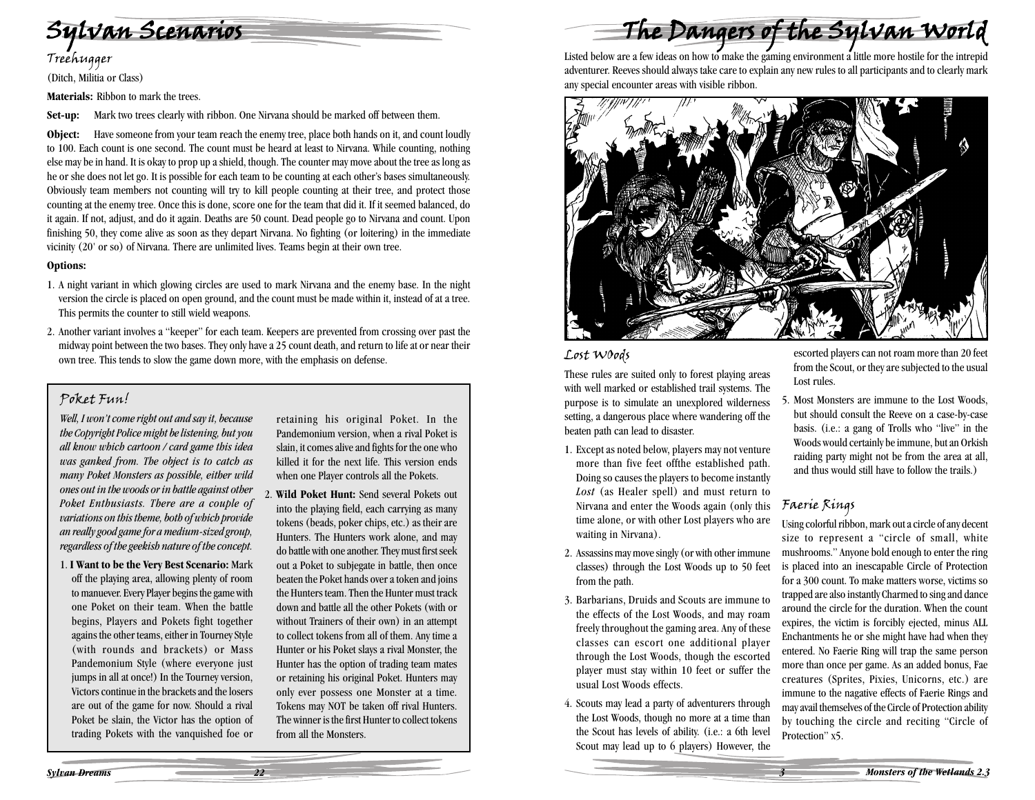

(Ditch, Militia or Class)

**Materials:** Ribbon to mark the trees.

**Set-up:** Mark two trees clearly with ribbon. One Nirvana should be marked off between them.

**Object:** Have someone from your team reach the enemy tree, place both hands on it, and count loudly to 100. Each count is one second. The count must be heard at least to Nirvana. While counting, nothing else may be in hand. It is okay to prop up a shield, though. The counter may move about the tree as long as he or she does not let go. It is possible for each team to be counting at each other's bases simultaneously. Obviously team members not counting will try to kill people counting at their tree, and protect those counting at the enemy tree. Once this is done, score one for the team that did it. If it seemed balanced, do it again. If not, adjust, and do it again. Deaths are 50 count. Dead people go to Nirvana and count. Upon finishing 50, they come alive as soon as they depart Nirvana. No fighting (or loitering) in the immediate vicinity (20' or so) of Nirvana. There are unlimited lives. Teams begin at their own tree.

#### **Options:**

- 1. A night variant in which glowing circles are used to mark Nirvana and the enemy base. In the night version the circle is placed on open ground, and the count must be made within it, instead of at a tree. This permits the counter to still wield weapons.
- 2. Another variant involves a "keeper" for each team. Keepers are prevented from crossing over past the midway point between the two bases. They only have a 25 count death, and return to life at or near their own tree. This tends to slow the game down more, with the emphasis on defense.

#### Poket Fun!

*Well, I won't come right out and say it, because the Copyright Police might be listening, but you all know which cartoon / card game this idea was ganked from. The object is to catch as many Poket Monsters as possible, either wild ones out in the woods or in battle against other Poket Enthusiasts. There are a couple of variations on this theme, both of which provide an really good game for a medium-sized group, regardless of the geekish nature of the concept.*

1. **I Want to be the Very Best Scenario:** Mark off the playing area, allowing plenty of room to manuever. Every Player begins the game with one Poket on their team. When the battle begins, Players and Pokets fight together agains the other teams, either in Tourney Style (with rounds and brackets) or Mass Pandemonium Style (where everyone just jumps in all at once!) In the Tourney version, Victors continue in the brackets and the losers are out of the game for now. Should a rival Poket be slain, the Victor has the option of trading Pokets with the vanquished foe or retaining his original Poket. In the Pandemonium version, when a rival Poket is slain, it comes alive and fights for the one who killed it for the next life. This version ends when one Player controls all the Pokets.

2. **Wild Poket Hunt:** Send several Pokets out into the playing field, each carrying as many tokens (beads, poker chips, etc.) as their are Hunters. The Hunters work alone, and may do battle with one another. They must first seek out a Poket to subjegate in battle, then once beaten the Poket hands over a token and joins the Hunters team. Then the Hunter must track down and battle all the other Pokets (with or without Trainers of their own) in an attempt to collect tokens from all of them. Any time a Hunter or his Poket slays a rival Monster, the Hunter has the option of trading team mates or retaining his original Poket. Hunters may only ever possess one Monster at a time. Tokens may NOT be taken off rival Hunters. The winner is the first Hunter to collect tokens from all the Monsters.

The Dangers of the Sylvan World

Listed below are a few ideas on how to make the gaming environment a little more hostile for the intrepid adventurer. Reeves should always take care to explain any new rules to all participants and to clearly mark any special encounter areas with visible ribbon.



#### Lost WOods

These rules are suited only to forest playing areas with well marked or established trail systems. The purpose is to simulate an unexplored wilderness setting, a dangerous place where wandering off the beaten path can lead to disaster.

- 1. Except as noted below, players may not venture more than five feet offthe established path. Doing so causes the players to become instantly *Lost* (as Healer spell) and must return to Nirvana and enter the Woods again (only this time alone, or with other Lost players who are waiting in Nirvana).
- 2. Assassins may move singly (or with other immune classes) through the Lost Woods up to 50 feet from the path.
- 3. Barbarians, Druids and Scouts are immune to the effects of the Lost Woods, and may roam freely throughout the gaming area. Any of these classes can escort one additional player through the Lost Woods, though the escorted player must stay within 10 feet or suffer the usual Lost Woods effects.
- 4. Scouts may lead a party of adventurers through the Lost Woods, though no more at a time than the Scout has levels of ability. (i.e.: a 6th level Scout may lead up to 6 players) However, the

escorted players can not roam more than 20 feet from the Scout, or they are subjected to the usual Lost rules.

5. Most Monsters are immune to the Lost Woods, but should consult the Reeve on a case-by-case basis. (i.e.: a gang of Trolls who "live" in the Woods would certainly be immune, but an Orkish raiding party might not be from the area at all, and thus would still have to follow the trails.)

#### Faerie Rings

Using colorful ribbon, mark out a circle of any decent size to represent a "circle of small, white mushrooms." Anyone bold enough to enter the ring is placed into an inescapable Circle of Protection for a 300 count. To make matters worse, victims so trapped are also instantly Charmed to sing and dance around the circle for the duration. When the count expires, the victim is forcibly ejected, minus ALL Enchantments he or she might have had when they entered. No Faerie Ring will trap the same person more than once per game. As an added bonus, Fae creatures (Sprites, Pixies, Unicorns, etc.) are immune to the nagative effects of Faerie Rings and may avail themselves of the Circle of Protection ability by touching the circle and reciting "Circle of Protection" x5.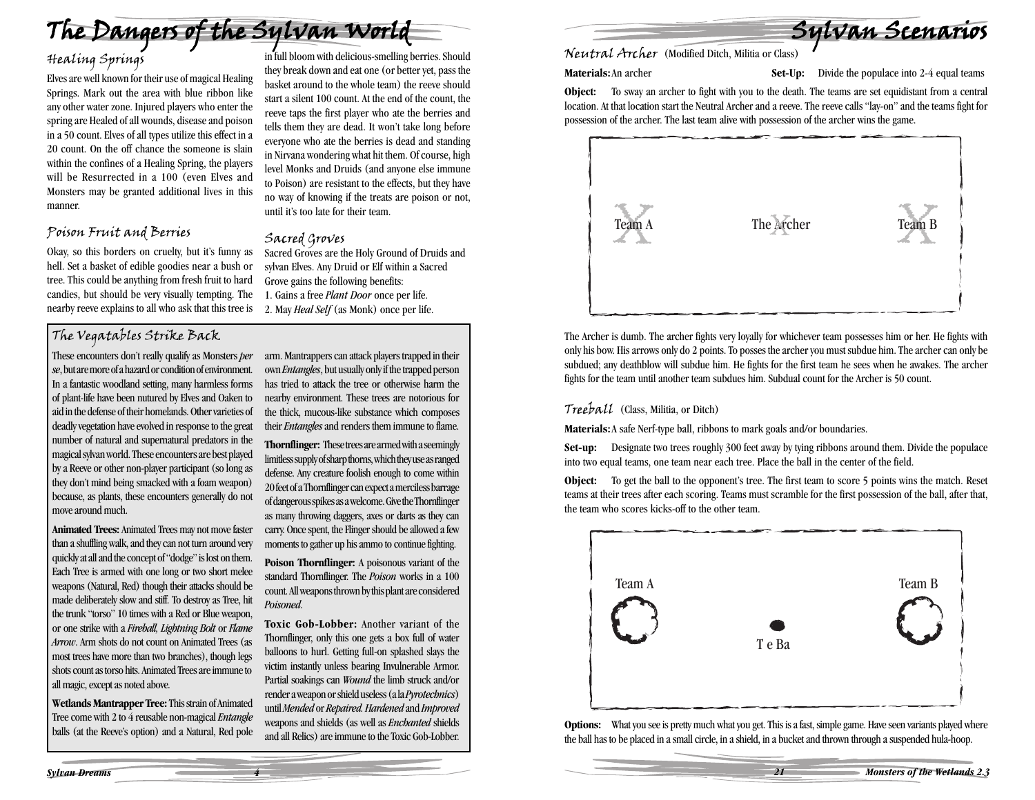

# Healing Springs

Elves are well known for their use of magical Healing Springs. Mark out the area with blue ribbon like any other water zone. Injured players who enter the spring are Healed of all wounds, disease and poison in a 50 count. Elves of all types utilize this effect in a 20 count. On the off chance the someone is slain within the confines of a Healing Spring, the players will be Resurrected in a 100 (even Elves and Monsters may be granted additional lives in this manner.

#### Poison Fruit and Berries

Okay, so this borders on cruelty, but it's funny as hell. Set a basket of edible goodies near a bush or tree. This could be anything from fresh fruit to hard candies, but should be very visually tempting. The nearby reeve explains to all who ask that this tree is

#### The Vegatables Strike Back

These encounters don't really qualify as Monsters *per se*, but are more of a hazard or condition of environment. In a fantastic woodland setting, many harmless forms of plant-life have been nutured by Elves and Oaken to aid in the defense of their homelands. Other varieties of deadly vegetation have evolved in response to the great number of natural and supernatural predators in the magical sylvan world. These encounters are best played by a Reeve or other non-player participant (so long as they don't mind being smacked with a foam weapon) because, as plants, these encounters generally do not move around much.

**Animated Trees:** Animated Trees may not move faster than a shuffling walk, and they can not turn around very quickly at all and the concept of "dodge" is lost on them. Each Tree is armed with one long or two short melee weapons (Natural, Red) though their attacks should be made deliberately slow and stiff. To destroy as Tree, hit the trunk "torso" 10 times with a Red or Blue weapon, or one strike with a *Fireball, Lightning Bolt* or *Flame Arrow*. Arm shots do not count on Animated Trees (as most trees have more than two branches), though legs shots count as torso hits. Animated Trees are immune to all magic, except as noted above.

**Wetlands Mantrapper Tree:** This strain of Animated Tree come with 2 to 4 reusable non-magical *Entangle* balls (at the Reeve's option) and a Natural, Red pole they break down and eat one (or better yet, pass the basket around to the whole team) the reeve should start a silent 100 count. At the end of the count, the reeve taps the first player who ate the berries and tells them they are dead. It won't take long before everyone who ate the berries is dead and standing in Nirvana wondering what hit them. Of course, high level Monks and Druids (and anyone else immune to Poison) are resistant to the effects, but they have no way of knowing if the treats are poison or not, until it's too late for their team.

#### Sacred Groves

Sacred Groves are the Holy Ground of Druids and sylvan Elves. Any Druid or Elf within a Sacred Grove gains the following benefits: 1. Gains a free *Plant Door* once per life. 2. May *Heal Self* (as Monk) once per life.

arm. Mantrappers can attack players trapped in their own *Entangles*, but usually only if the trapped person has tried to attack the tree or otherwise harm the nearby environment. These trees are notorious for the thick, mucous-like substance which composes their *Entangles* and renders them immune to flame.

**Thornflinger:** These trees are armed with a seemingly limitless supply of sharp thorns, which they use as ranged defense. Any creature foolish enough to come within 20 feet of a Thornflinger can expect a merciless barrage of dangerous spikes as a welcome. Give the Thornflinger as many throwing daggers, axes or darts as they can carry. Once spent, the Flinger should be allowed a few moments to gather up his ammo to continue fighting.

**Poison Thornflinger:** A poisonous variant of the standard Thornflinger. The *Poison* works in a 100 count. All weapons thrown by this plant are considered *Poisoned*.

**Toxic Gob-Lobber:** Another variant of the Thornflinger, only this one gets a box full of water balloons to hurl. Getting full-on splashed slays the victim instantly unless bearing Invulnerable Armor. Partial soakings can *Wound* the limb struck and/or render a weapon or shield useless (a la *Pyrotechnics*) until *Mended* or *Repaired. Hardened* and *Improved* weapons and shields (as well as *Enchanted* shields and all Relics) are immune to the Toxic Gob-Lobber.

Sylvan Scenarios Sylvan Scenarios

**Materials:** An archer **Set-Up:** Divide the populace into 2-4 equal teams

**Object:** To sway an archer to fight with you to the death. The teams are set equidistant from a central location. At that location start the Neutral Archer and a reeve. The reeve calls "lay-on" and the teams fight for possession of the archer. The last team alive with possession of the archer wins the game.



The Archer is dumb. The archer fights very loyally for whichever team possesses him or her. He fights with only his bow. His arrows only do 2 points. To posses the archer you must subdue him. The archer can only be subdued; any deathblow will subdue him. He fights for the first team he sees when he awakes. The archer fights for the team until another team subdues him. Subdual count for the Archer is 50 count.

#### Treeball (Class, Militia, or Ditch)

**Materials:**A safe Nerf-type ball, ribbons to mark goals and/or boundaries.

**Set-up:** Designate two trees roughly 300 feet away by tying ribbons around them. Divide the populace into two equal teams, one team near each tree. Place the ball in the center of the field.

**Object:** To get the ball to the opponent's tree. The first team to score 5 points wins the match. Reset teams at their trees after each scoring. Teams must scramble for the first possession of the ball, after that, the team who scores kicks-off to the other team.



**Options:** What you see is pretty much what you get. This is a fast, simple game. Have seen variants played where the ball has to be placed in a small circle, in a shield, in a bucket and thrown through a suspended hula-hoop.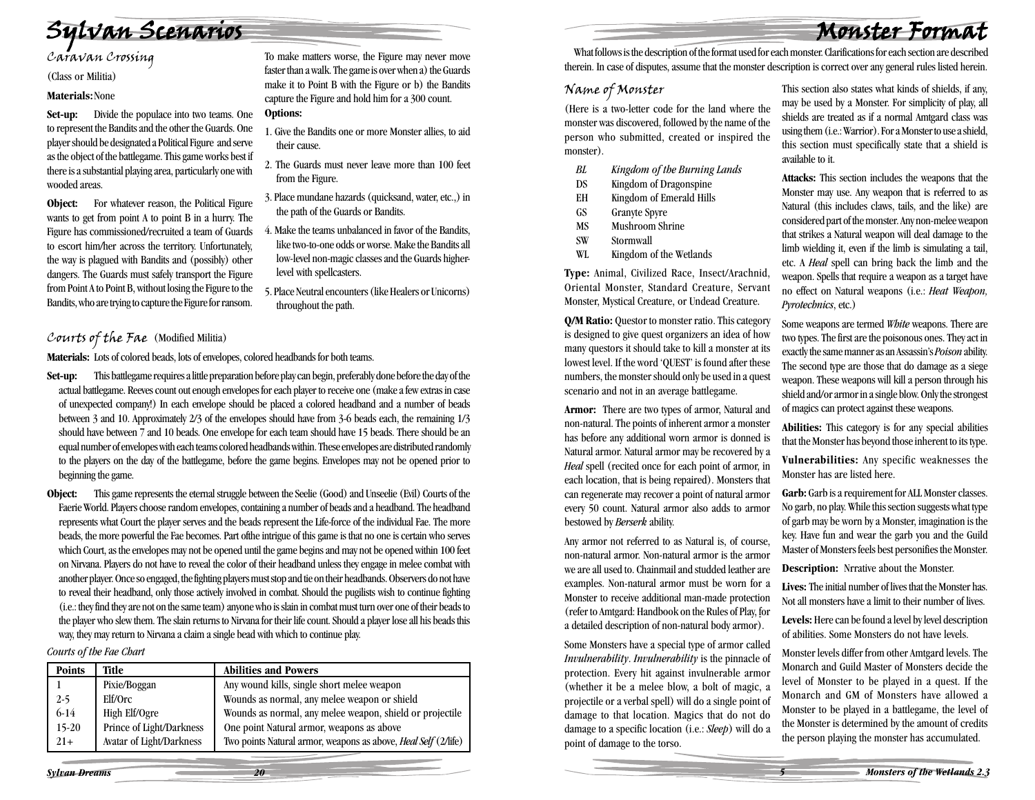Monster Format

Sylvan Scenarios<br>Caravan Crossing

(Class or Militia)

#### **Materials:**None

**Set-up:** Divide the populace into two teams. One to represent the Bandits and the other the Guards. One player should be designated a Political Figure and serve as the object of the battlegame. This game works best if there is a substantial playing area, particularly one with wooded areas.

**Object:** For whatever reason, the Political Figure wants to get from point A to point B in a hurry. The Figure has commissioned/recruited a team of Guards to escort him/her across the territory. Unfortunately, the way is plagued with Bandits and (possibly) other dangers. The Guards must safely transport the Figure from Point A to Point B, without losing the Figure to the Bandits, who are trying to capture the Figure for ransom.

To make matters worse, the Figure may never move faster than a walk. The game is over when a) the Guards make it to Point B with the Figure or b) the Bandits capture the Figure and hold him for a 300 count. **Options:**

#### 1. Give the Bandits one or more Monster allies, to aid their cause.

- 2. The Guards must never leave more than 100 feet from the Figure.
- 3. Place mundane hazards (quicksand, water, etc.,) in the path of the Guards or Bandits.
- 4. Make the teams unbalanced in favor of the Bandits, like two-to-one odds or worse. Make the Bandits all low-level non-magic classes and the Guards higherlevel with spellcasters.
- 5. Place Neutral encounters (like Healers or Unicorns) throughout the path.

#### Courts of the Fae (Modified Militia)

**Materials:** Lots of colored beads, lots of envelopes, colored headbands for both teams.

- **Set-up:** This battlegame requires a little preparation before play can begin, preferably done before the day of the actual battlegame. Reeves count out enough envelopes for each player to receive one (make a few extras in case of unexpected company!) In each envelope should be placed a colored headband and a number of beads between 3 and 10. Approximately 2/3 of the envelopes should have from 3-6 beads each, the remaining 1/3 should have between 7 and 10 beads. One envelope for each team should have 15 beads. There should be an equal number of envelopes with each teams colored headbands within. These envelopes are distributed randomly to the players on the day of the battlegame, before the game begins. Envelopes may not be opened prior to beginning the game.
- **Object:** This game represents the eternal struggle between the Seelie (Good) and Unseelie (Evil) Courts of the Faerie World. Players choose random envelopes, containing a number of beads and a headband. The headband represents what Court the player serves and the beads represent the Life-force of the individual Fae. The more beads, the more powerful the Fae becomes. Part ofthe intrigue of this game is that no one is certain who serves which Court, as the envelopes may not be opened until the game begins and may not be opened within 100 feet on Nirvana. Players do not have to reveal the color of their headband unless they engage in melee combat with another player. Once so engaged, the fighting players must stop and tie on their headbands. Observers do not have to reveal their headband, only those actively involved in combat. Should the pugilists wish to continue fighting (i.e.: they find they are not on the same team) anyone who is slain in combat must turn over one of their beads to the player who slew them. The slain returns to Nirvana for their life count. Should a player lose all his beads this way, they may return to Nirvana a claim a single bead with which to continue play.

*Courts of the Fae Chart*

| <b>Points</b> | Title                    | <b>Abilities and Powers</b>                                           |
|---------------|--------------------------|-----------------------------------------------------------------------|
|               | Pixie/Boggan             | Any wound kills, single short melee weapon                            |
| $2 - 5$       | Elf/Orc                  | Wounds as normal, any melee weapon or shield                          |
| $6-14$        | High Elf/Ogre            | Wounds as normal, any melee weapon, shield or projectile              |
| $15-20$       | Prince of Light/Darkness | One point Natural armor, weapons as above                             |
| $21+$         | Avatar of Light/Darkness | Two points Natural armor, weapons as above, <i>Heal Self</i> (2/life) |

What follows is the description of the format used for each monster. Clarifications for each section are described therein. In case of disputes, assume that the monster description is correct over any general rules listed herein.

#### Name of Monster

(Here is a two-letter code for the land where the monster was discovered, followed by the name of the person who submitted, created or inspired the monster).

- *BL Kingdom of the Burning Lands*
- DS Kingdom of Dragonspine
- EH Kingdom of Emerald Hills
- GS Granyte Spyre
- MS Mushroom Shrine
- SW Stormwall
- WL Kingdom of the Wetlands

**Type:** Animal, Civilized Race, Insect/Arachnid, Oriental Monster, Standard Creature, Servant Monster, Mystical Creature, or Undead Creature.

**Q/M Ratio:** Questor to monster ratio. This category is designed to give quest organizers an idea of how many questors it should take to kill a monster at its lowest level. If the word 'QUEST' is found after these numbers, the monster should only be used in a quest scenario and not in an average battlegame.

**Armor:** There are two types of armor, Natural and non-natural. The points of inherent armor a monster has before any additional worn armor is donned is Natural armor. Natural armor may be recovered by a *Heal* spell (recited once for each point of armor, in each location, that is being repaired). Monsters that can regenerate may recover a point of natural armor every 50 count. Natural armor also adds to armor bestowed by *Berserk* ability.

Any armor not referred to as Natural is, of course, non-natural armor. Non-natural armor is the armor we are all used to. Chainmail and studded leather are examples. Non-natural armor must be worn for a Monster to receive additional man-made protection (refer to Amtgard: Handbook on the Rules of Play, for a detailed description of non-natural body armor).

Some Monsters have a special type of armor called *Invulnerability*. *Invulnerability* is the pinnacle of protection. Every hit against invulnerable armor (whether it be a melee blow, a bolt of magic, a projectile or a verbal spell) will do a single point of damage to that location. Magics that do not do damage to a specific location (i.e.: *Sleep*) will do a point of damage to the torso.

This section also states what kinds of shields, if any, may be used by a Monster. For simplicity of play, all shields are treated as if a normal Amtgard class was using them (i.e.: Warrior). For a Monster to use a shield, this section must specifically state that a shield is available to it.

**Attacks:** This section includes the weapons that the Monster may use. Any weapon that is referred to as Natural (this includes claws, tails, and the like) are considered part of the monster. Any non-melee weapon that strikes a Natural weapon will deal damage to the limb wielding it, even if the limb is simulating a tail, etc. A *Heal* spell can bring back the limb and the weapon. Spells that require a weapon as a target have no effect on Natural weapons (i.e.: *Heat Weapon, Pyrotechnics*, etc.)

Some weapons are termed *White* weapons. There are two types. The first are the poisonous ones. They act in exactly the same manner as an Assassin's *Poison* ability. The second type are those that do damage as a siege weapon. These weapons will kill a person through his shield and/or armor in a single blow. Only the strongest of magics can protect against these weapons.

**Abilities:** This category is for any special abilities that the Monster has beyond those inherent to its type.

**Vulnerabilities:** Any specific weaknesses the Monster has are listed here.

**Garb:** Garb is a requirement for ALL Monster classes. No garb, no play. While this section suggests what type of garb may be worn by a Monster, imagination is the key. Have fun and wear the garb you and the Guild Master of Monsters feels best personifies the Monster.

**Description:** Nrrative about the Monster.

**Lives:** The initial number of lives that the Monster has. Not all monsters have a limit to their number of lives.

**Levels:** Here can be found a level by level description of abilities. Some Monsters do not have levels.

Monster levels differ from other Amtgard levels. The Monarch and Guild Master of Monsters decide the level of Monster to be played in a quest. If the Monarch and GM of Monsters have allowed a Monster to be played in a battlegame, the level of the Monster is determined by the amount of credits the person playing the monster has accumulated.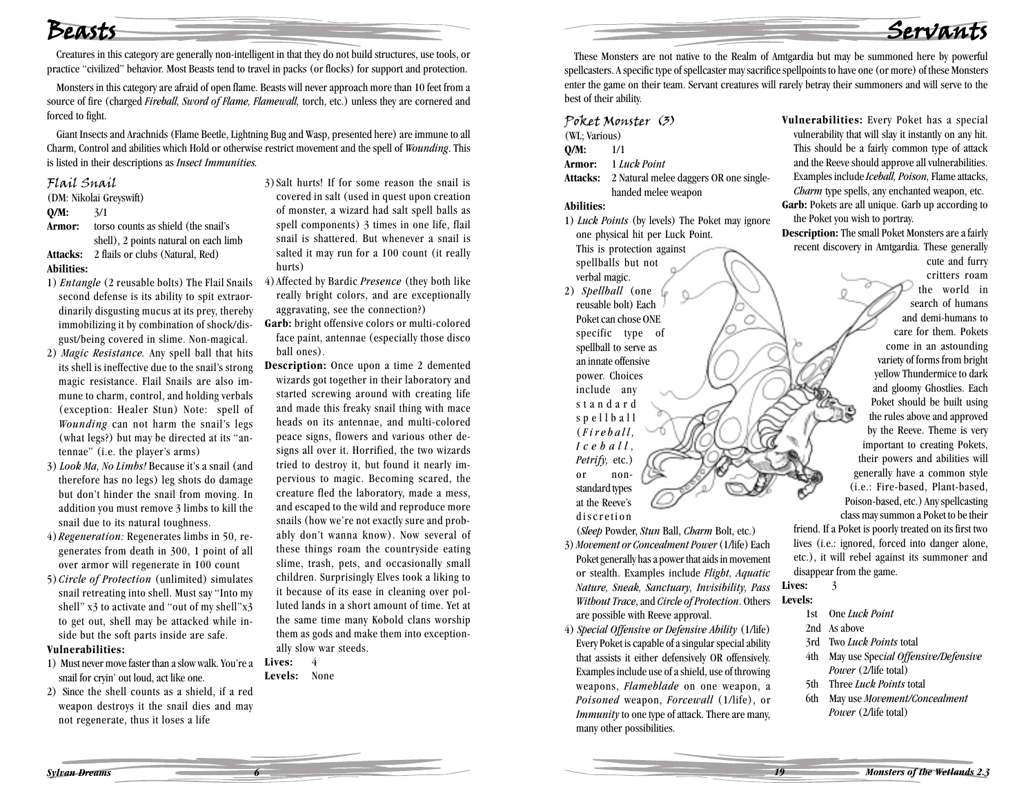### Beasts

Creatures in this category are generally non-intelligent in that they do not build structures, use tools, or practice "civilized" behavior. Most Beasts tend to travel in packs (or flocks) for support and protection.

Monsters in this category are afraid of open flame. Beasts will never approach more than 10 feet from a source of fire (charged *Fireball, Sword of Flame, Flamewall,* torch, etc.) unless they are cornered and forced to fight.

Giant Insects and Arachnids (Flame Beetle, Lightning Bug and Wasp, presented here) are immune to all Charm, Control and abilities which Hold or otherwise restrict movement and the spell of *Wounding*. This is listed in their descriptions as *Insect Immunities.*

#### Flail Snail

(DM: Nikolai Greyswift)

**Q/M:** 3/1

- **Armor:** torso counts as shield (the snail's
- shell), 2 points natural on each limb **Attacks:** 2 flails or clubs (Natural, Red)

#### **Abilities:**

- 1) *Entangle* (2 reusable bolts) The Flail Snails second defense is its ability to spit extraordinarily disgusting mucus at its prey, thereby immobilizing it by combination of shock/disgust/being covered in slime. Non-magical.
- 2) *Magic Resistance.* Any spell ball that hits its shell is ineffective due to the snail's strong magic resistance. Flail Snails are also immune to charm, control, and holding verbals (exception: Healer Stun) Note: spell of *Wounding* can not harm the snail's legs (what legs?) but may be directed at its "antennae" (i.e. the player's arms)
- 3) *Look Ma, No Limbs!* Because it's a snail (and therefore has no legs) leg shots do damage but don't hinder the snail from moving. In addition you must remove 3 limbs to kill the snail due to its natural toughness.
- 4) *Regeneration:* Regenerates limbs in 50, regenerates from death in 300, 1 point of all over armor will regenerate in 100 count
- 5) *Circle of Protection* (unlimited) simulates snail retreating into shell. Must say "Into my shell" x3 to activate and "out of my shell" x3 to get out, shell may be attacked while inside but the soft parts inside are safe.

#### **Vulnerabilities:**

- 1) Must never move faster than a slow walk. You're a **Lives:** 4 snail for cryin' out loud, act like one.
- 2) Since the shell counts as a shield, if a red weapon destroys it the snail dies and may not regenerate, thus it loses a life

3)Salt hurts! If for some reason the snail is covered in salt (used in quest upon creation of monster, a wizard had salt spell balls as spell components) 3 times in one life, flail snail is shattered. But whenever a snail is salted it may run for a 100 count (it really hurts)

- 4)Affected by Bardic *Presence* (they both like really bright colors, and are exceptionally aggravating, see the connection?)
- **Garb:** bright offensive colors or multi-colored face paint, antennae (especially those disco ball ones).
- **Description:** Once upon a time 2 demented wizards got together in their laboratory and started screwing around with creating life and made this freaky snail thing with mace heads on its antennae, and multi-colored peace signs, flowers and various other designs all over it. Horrified, the two wizards tried to destroy it, but found it nearly impervious to magic. Becoming scared, the creature fled the laboratory, made a mess, and escaped to the wild and reproduce more snails (how we're not exactly sure and probably don't wanna know). Now several of these things roam the countryside eating slime, trash, pets, and occasionally small children. Surprisingly Elves took a liking to it because of its ease in cleaning over polluted lands in a short amount of time. Yet at the same time many Kobold clans worship them as gods and make them into exceptionally slow war steeds.

**Levels:** None

These Monsters are not native to the Realm of Amtgardia but may be summoned here by powerful spellcasters. A specific type of spellcaster may sacrifice spellpoints to have one (or more) of these Monsters enter the game on their team. Servant creatures will rarely betray their summoners and will serve to the

Poket Monster (3) (WL; Various) **Q/M:** 1/1 **Armor:** 1 *Luck Point*

**Attacks:** 2 Natural melee daggers OR one singlehanded melee weapon

C

#### **Abilities:**

best of their ability.

1) *Luck Points* (by levels) The Poket may ignore one physical hit per Luck Point.

This is protection against spellballs but not verbal magic.

2) *Spellball* (one reusable bolt) Each Poket can chose ONE specific type of spellball to serve as an innate offensive power. Choices include any standard spellball (*Fireball, Iceball, Petrify,* etc.) or nonstandard types at the Reeve's discretion

**Vulnerabilities:** Every Poket has a special vulnerability that will slay it instantly on any hit. This should be a fairly common type of attack and the Reeve should approve all vulnerabilities. Examples include *Iceball, Poison,* Flame attacks, *Charm* type spells, any enchanted weapon, etc.

Servant

**Garb:** Pokets are all unique. Garb up according to the Poket you wish to portray.

**Description:** The small Poket Monsters are a fairly recent discovery in Amtgardia. These generally cute and furry

critters roam the world in search of humans and demi-humans to care for them. Pokets come in an astounding variety of forms from bright yellow Thundermice to dark and gloomy Ghostlies. Each Poket should be built using the rules above and approved by the Reeve. Theme is very important to creating Pokets, their powers and abilities will generally have a common style (i.e.: Fire-based, Plant-based, Poison-based, etc.) Any spellcasting class may summon a Poket to be their friend. If a Poket is poorly treated on its first two

(*Sleep* Powder, *Stun* Ball, *Charm* Bolt, etc.) 3) *Movement or Concealment Power* (1/life) Each Poket generally has a power that aids in movement or stealth. Examples include *Flight, Aquatic Nature, Sneak, Sanctuary, Invisibility, Pass Without Trace*, and *Circle of Protection*. Others are possible with Reeve approval.

4) *Special Offensive or Defensive Ability* (1/life) Every Poket is capable of a singular special ability that assists it either defensively OR offensively. Examples include use of a shield, use of throwing weapons, *Flameblade* on one weapon, a *Poisoned* weapon, *Forcewall* (1/life), or *Immunity* to one type of attack. There are many, many other possibilities.

etc.), it will rebel against its summoner and disappear from the game. Lives: 3 **Levels:**

lives (i.e.: ignored, forced into danger alone,

- 1st One *Luck Point*
- 2nd As above
- 3rd Two *Luck Points* total
- 4th May use Spec*ial Offensive/Defensive Power* (2/life total)
- 5th Three *Luck Points* total
- 6th May use *Movement/Concealment Power* (2/life total)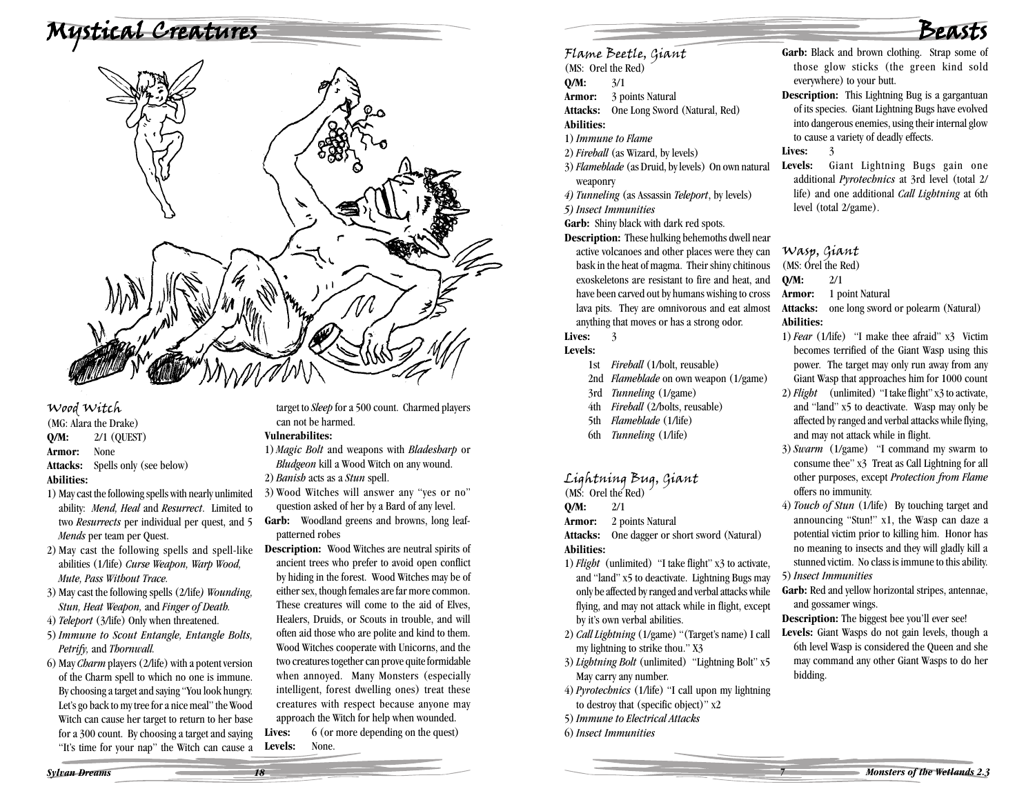# Mystical Creatures



#### Wood Witch

(MG: Alara the Drake) **Q/M:** 2/1 (QUEST) **Armor:** None **Attacks:** Spells only (see below) **Abilities:**

- 1) May cast the following spells with nearly unlimited ability: *Mend, Heal* and *Resurrect*. Limited to two *Resurrects* per individual per quest, and 5 *Mends* per team per Quest.
- 2) May cast the following spells and spell-like abilities (1/life) *Curse Weapon, Warp Wood, Mute, Pass Without Trace.*
- 3) May cast the following spells (2/life*) Wounding, Stun, Heat Weapon,* and *Finger of Death.*
- 4) *Teleport* (3/life) Only when threatened.
- 5)*Immune to Scout Entangle, Entangle Bolts, Petrify,* and *Thornwall.*
- 6) May *Charm* players (2/life) with a potent version of the Charm spell to which no one is immune. By choosing a target and saying "You look hungry. Let's go back to my tree for a nice meal" the Wood Witch can cause her target to return to her base for a 300 count. By choosing a target and saying "It's time for your nap" the Witch can cause a

target to *Sleep* for a 500 count. Charmed players can not be harmed.

#### **Vulnerabilites:**

- 1) *Magic Bolt* and weapons with *Bladesharp* or *Bludgeon* kill a Wood Witch on any wound.
- 2) *Banish* acts as a *Stun* spell.
- 3) Wood Witches will answer any "yes or no" question asked of her by a Bard of any level.
- **Garb:** Woodland greens and browns, long leafpatterned robes
- **Description:** Wood Witches are neutral spirits of ancient trees who prefer to avoid open conflict by hiding in the forest. Wood Witches may be of either sex, though females are far more common. These creatures will come to the aid of Elves, Healers, Druids, or Scouts in trouble, and will often aid those who are polite and kind to them. Wood Witches cooperate with Unicorns, and the two creatures together can prove quite formidable when annoyed. Many Monsters (especially intelligent, forest dwelling ones) treat these creatures with respect because anyone may

approach the Witch for help when wounded. Lives: 6 (or more depending on the quest) **Levels:** None.

# Beasts

- **Garb:** Black and brown clothing. Strap some of those glow sticks (the green kind sold everywhere) to your butt.
- **Description:** This Lightning Bug is a gargantuan of its species. Giant Lightning Bugs have evolved into dangerous enemies, using their internal glow to cause a variety of deadly effects.

Lives: 3

Flame Beetle, Giant (MS: Orel the Red)

**Armor:** 3 points Natural

1)*Immune to Flame* 2)*Fireball* (as Wizard, by levels)

*5) Insect Immunities*

weaponry

Lives: 3 **Levels:**

**Q/M:** 2/1

**Abilities:**

**Attacks:** One Long Sword (Natural, Red)

3)*Flameblade* (as Druid, by levels) On own natural

**Description:** These hulking behemoths dwell near active volcanoes and other places were they can bask in the heat of magma. Their shiny chitinous exoskeletons are resistant to fire and heat, and have been carved out by humans wishing to cross lava pits. They are omnivorous and eat almost anything that moves or has a strong odor.

*4) Tunneling* (as Assassin *Teleport*, by levels)

**Garb:** Shiny black with dark red spots.

1st *Fireball* (1/bolt, reusable)

3rd *Tunneling* (1/game) 4th *Fireball* (2/bolts, reusable) 5th *Flameblade* (1/life) 6th *Tunneling* (1/life)

Lightning Bug, Giant (MS: Orel the Red)

by it's own verbal abilities.

May carry any number.

6)*Insect Immunities*

my lightning to strike thou." X3

**Attacks:** One dagger or short sword (Natural)

1)*Flight* (unlimited) "I take flight" x3 to activate, and "land" x5 to deactivate. Lightning Bugs may only be affected by ranged and verbal attacks while flying, and may not attack while in flight, except

2) *Call Lightning* (1/game) "(Target's name) I call

3)*Lightning Bolt* (unlimited) "Lightning Bolt" x5

4) *Pyrotechnics* (1/life) "I call upon my lightning to destroy that (specific object)" x2 5)*Immune to Electrical Attacks*

**Armor:** 2 points Natural

2nd *Flameblade* on own weapon (1/game)

**Q/M:** 3/1

**Abilities:**

**Levels:** Giant Lightning Bugs gain one additional *Pyrotechnics* at 3rd level (total 2/ life) and one additional *Call Lightning* at 6th level (total 2/game).

Wasp, Giant (MS: Orel the Red)

**Q/M:** 2/1

#### **Armor:** 1 point Natural

**Attacks:** one long sword or polearm (Natural) **Abilities:**

- 1)*Fear* (1/life) "I make thee afraid" x3 Victim becomes terrified of the Giant Wasp using this power. The target may only run away from any Giant Wasp that approaches him for 1000 count
- 2)*Flight* (unlimited) "I take flight" x3 to activate, and "land" x5 to deactivate. Wasp may only be affected by ranged and verbal attacks while flying, and may not attack while in flight.
- 3)*Swarm* (1/game) "I command my swarm to consume thee" x3 Treat as Call Lightning for all other purposes, except *Protection from Flame* offers no immunity.
- 4) *Touch of Stun* (1/life) By touching target and announcing "Stun!" x1, the Wasp can daze a potential victim prior to killing him. Honor has no meaning to insects and they will gladly kill a stunned victim. No class is immune to this ability. 5)*Insect Immunities*

Garb: Red and vellow horizontal stripes, antennae, and gossamer wings.

**Description:** The biggest bee you'll ever see!

Levels: Giant Wasps do not gain levels, though a 6th level Wasp is considered the Queen and she may command any other Giant Wasps to do her bidding.

*Sylvan Dreams 18*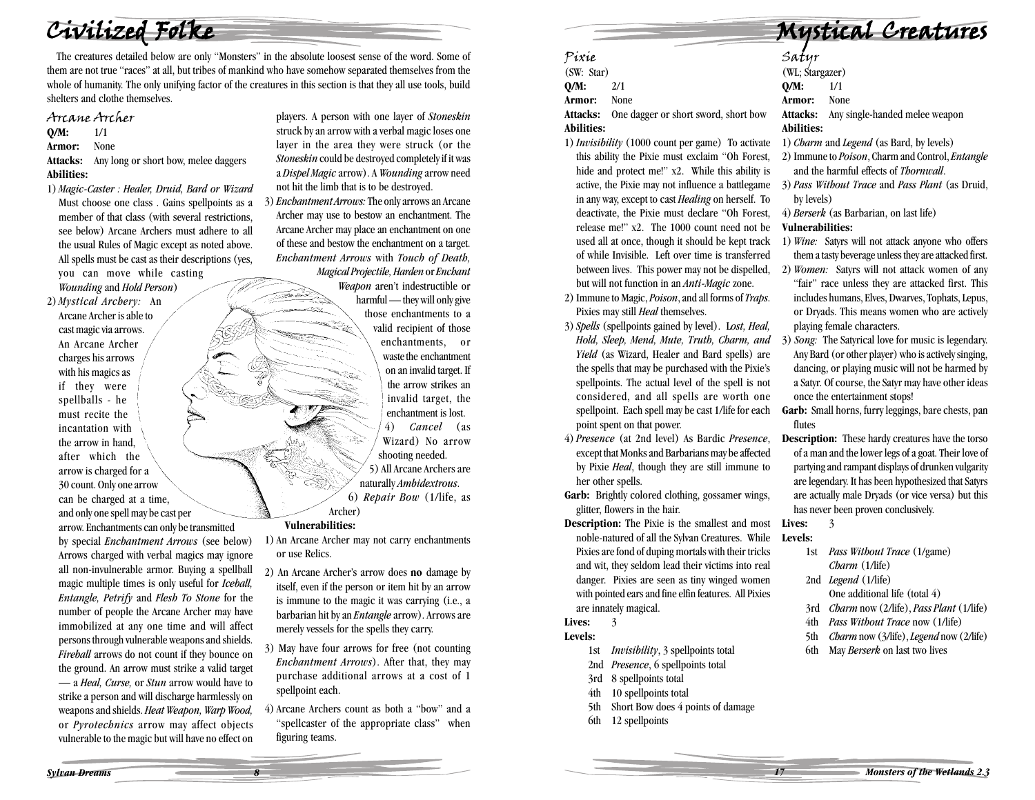Civilized Folke

The creatures detailed below are only "Monsters" in the absolute loosest sense of the word. Some of them are not true "races" at all, but tribes of mankind who have somehow separated themselves from the whole of humanity. The only unifying factor of the creatures in this section is that they all use tools, build shelters and clothe themselves.

#### Arcane Archer

**Q/M:** 1/1

**Armor:** None

**Attacks:** Any long or short bow, melee daggers **Abilities:**

1) *Magic-Caster : Healer, Druid, Bard or Wizard* Must choose one class . Gains spellpoints as a member of that class (with several restrictions, see below) Arcane Archers must adhere to all the usual Rules of Magic except as noted above. All spells must be cast as their descriptions (yes, you can move while casting *Wounding* and *Hold Person*)

2) *Mystical Archery:* An Arcane Archer is able to cast magic via arrows. An Arcane Archer charges his arrows with his magics as if they were spellballs - he must recite the incantation with the arrow in hand, after which the arrow is charged for a 30 count. Only one arrow can be charged at a time, and only one spell may be cast per

arrow. Enchantments can only be transmitted by special *Enchantment Arrows* (see below) Arrows charged with verbal magics may ignore all non-invulnerable armor. Buying a spellball magic multiple times is only useful for *Iceball, Entangle, Petrify* and *Flesh To Stone* for the number of people the Arcane Archer may have immobilized at any one time and will affect persons through vulnerable weapons and shields. *Fireball* arrows do not count if they bounce on the ground. An arrow must strike a valid target — a *Heal, Curse,* or *Stun* arrow would have to strike a person and will discharge harmlessly on weapons and shields. *Heat Weapon, Warp Wood,* or *Pyrotechnics* arrow may affect objects vulnerable to the magic but will have no effect on

players. A person with one layer of *Stoneskin* struck by an arrow with a verbal magic loses one layer in the area they were struck (or the *Stoneskin* could be destroyed completely if it was <sup>a</sup>*Dispel Magic* arrow). A *Wounding* arrow need not hit the limb that is to be destroyed.

3) *Enchantment Arrows:* The only arrows an Arcane Archer may use to bestow an enchantment. The Arcane Archer may place an enchantment on one of these and bestow the enchantment on a target. *Enchantment Arrows* with *Touch of Death, Magical Projectile, Harden* or *Enchant*

> *Weapon* aren't indestructible or harmful — they will only give those enchantments to a valid recipient of those enchantments, or waste the enchantment on an invalid target. If the arrow strikes an invalid target, the enchantment is lost. 4) *Cancel* (as Wizard) No arrow shooting needed. 5) All Arcane Archers are naturally *Ambidextrous*. 6) *Repair Bow* (1/life, as Archer)

#### **Vulnerabilities:**

æ.

1) An Arcane Archer may not carry enchantments or use Relics.

- 2) An Arcane Archer's arrow does **no** damage by itself, even if the person or item hit by an arrow is immune to the magic it was carrying (i.e., a barbarian hit by an *Entangle* arrow). Arrows are merely vessels for the spells they carry.
- 3) May have four arrows for free (not counting *Enchantment Arrows*). After that, they may purchase additional arrows at a cost of 1 spellpoint each.
- 4) Arcane Archers count as both a "bow" and a "spellcaster of the appropriate class" when figuring teams.

Mystical Creatures

- Pixie (SW: Star) **Q/M:** 2/1 **Armor:** None **Attacks:** One dagger or short sword, short bow
- **Abilities:** 1)*Invisibility* (1000 count per game) To activate
- this ability the Pixie must exclaim "Oh Forest, hide and protect me!" x2. While this ability is active, the Pixie may not influence a battlegame in any way, except to cast *Healing* on herself. To deactivate, the Pixie must declare "Oh Forest, release me!" x2. The 1000 count need not be used all at once, though it should be kept track of while Invisible. Left over time is transferred between lives. This power may not be dispelled, but will not function in an *Anti-Magic* zone.
- 2) Immune to Magic, *Poison*, and all forms of *Traps*. Pixies may still *Heal* themselves.
- 3)*Spells* (spellpoints gained by level). L*ost, Heal, Hold, Sleep, Mend, Mute, Truth, Charm, and Yield* (as Wizard, Healer and Bard spells) are the spells that may be purchased with the Pixie's spellpoints. The actual level of the spell is not considered, and all spells are worth one spellpoint. Each spell may be cast 1/life for each point spent on that power.
- 4) *Presence* (at 2nd level) As Bardic *Presence*, except that Monks and Barbarians may be affected by Pixie *Heal*, though they are still immune to her other spells.
- **Garb:** Brightly colored clothing, gossamer wings, glitter, flowers in the hair.
- **Description:** The Pixie is the smallest and most noble-natured of all the Sylvan Creatures. While Pixies are fond of duping mortals with their tricks and wit, they seldom lead their victims into real danger. Pixies are seen as tiny winged women with pointed ears and fine elfin features. All Pixies are innately magical.

Lives: 3

#### **Levels:**

- 1st *Invisibility*, 3 spellpoints total
- 2nd *Presence*, 6 spellpoints total
- 3rd 8 spellpoints total
- 4th 10 spellpoints total
- 5th Short Bow does 4 points of damage
- 6th 12 spellpoints

# Satyr<br>(WL: Stargazer)

- **Q/M:** 1/1
- **Armor:** None
- **Attacks:** Any single-handed melee weapon
- **Abilities:**
- 1) *Charm* and *Legend* (as Bard, by levels)
- 2) Immune to *Poison*, Charm and Control, *Entangle* and the harmful effects of *Thornwall*.
- 3) *Pass Without Trace* and *Pass Plant* (as Druid, by levels)
- 4) *Berserk* (as Barbarian, on last life)

#### **Vulnerabilities:**

- 1) *Wine:* Satyrs will not attack anyone who offers them a tasty beverage unless they are attacked first.
- 2) *Women:* Satyrs will not attack women of any "fair" race unless they are attacked first. This includes humans, Elves, Dwarves, Tophats, Lepus, or Dryads. This means women who are actively playing female characters.
- 3) *Song:* The Satyrical love for music is legendary. Any Bard (or other player) who is actively singing, dancing, or playing music will not be harmed by a Satyr. Of course, the Satyr may have other ideas once the entertainment stops!
- **Garb:** Small horns, furry leggings, bare chests, pan flutes
- **Description:** These hardy creatures have the torso of a man and the lower legs of a goat. Their love of partying and rampant displays of drunken vulgarity are legendary. It has been hypothesized that Satyrs are actually male Dryads (or vice versa) but this has never been proven conclusively.

Lives: 3 **Levels:**

- 1st *Pass Without Trace* (1/game) *Charm* (1/life)
- 2nd *Legend* (1/life)
- One additional life (total 4)
- 3rd *Charm* now (2/life), *Pass Plant* (1/life)
- 4th *Pass Without Trace* now (1/life)
- 5th *Charm* now (3/life), *Legend* now (2/life)
- 6th May *Berserk* on last two lives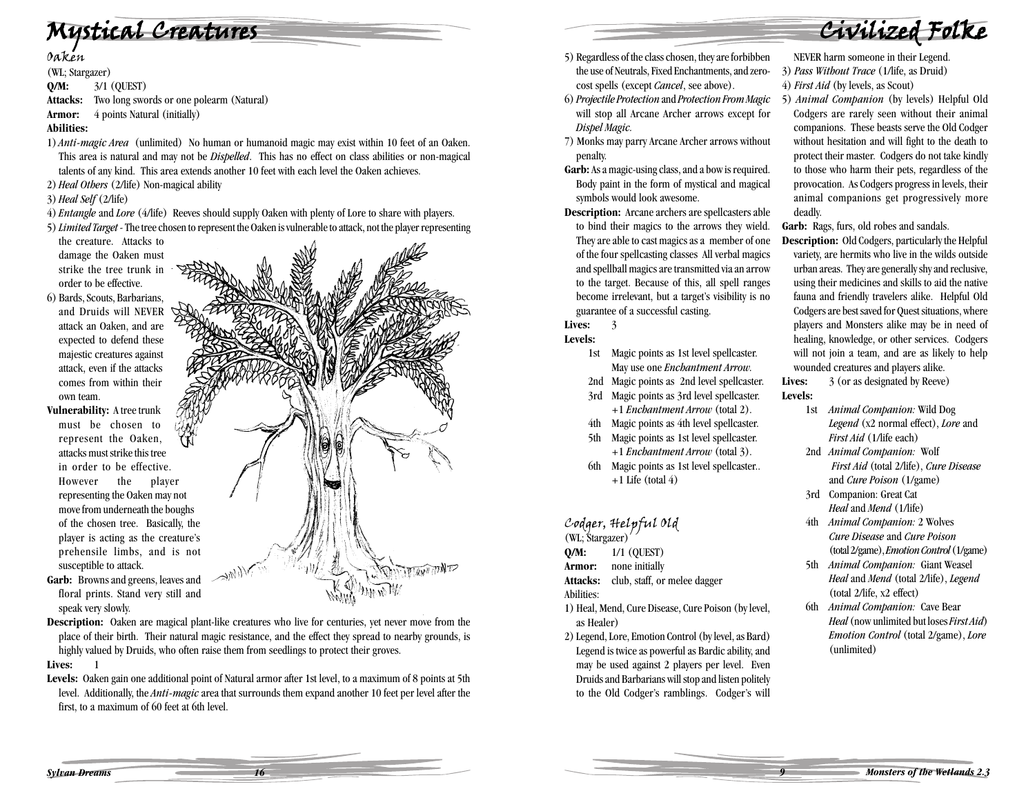# Mystical Creatures

(WL; Stargazer) **Q/M:** 3/1 (QUEST) **Attacks:** Two long swords or one polearm (Natural) **Armor:** 4 points Natural (initially) **Abilities:**

- 1) *Anti-magic Area* (unlimited) No human or humanoid magic may exist within 10 feet of an Oaken. This area is natural and may not be *Dispelled*. This has no effect on class abilities or non-magical talents of any kind. This area extends another 10 feet with each level the Oaken achieves.
- 2) *Heal Others* (2/life) Non-magical ability
- 3) *Heal Self* (2/life)
- 4) *Entangle* and *Lore* (4/life) Reeves should supply Oaken with plenty of Lore to share with players. 5)*Limited Target* - The tree chosen to represent the Oaken is vulnerable to attack, not the player representing
- the creature. Attacks to damage the Oaken must strike the tree trunk in order to be effective.
- 6) Bards, Scouts, Barbarians, and Druids will NEVER attack an Oaken, and are expected to defend these majestic creatures against attack, even if the attacks comes from within their own team.

**Vulnerability:** A tree trunk must be chosen to represent the Oaken, attacks must strike this tree in order to be effective. However the player representing the Oaken may not move from underneath the boughs of the chosen tree. Basically, the player is acting as the creature's prehensile limbs, and is not susceptible to attack.



- **Garb:** Browns and greens, leaves and floral prints. Stand very still and speak very slowly.
- **Description:** Oaken are magical plant-like creatures who live for centuries, yet never move from the place of their birth. Their natural magic resistance, and the effect they spread to nearby grounds, is highly valued by Druids, who often raise them from seedlings to protect their groves.

#### Lives: 1

**Levels:** Oaken gain one additional point of Natural armor after 1st level, to a maximum of 8 points at 5th level. Additionally, the *Anti-magic* area that surrounds them expand another 10 feet per level after the first, to a maximum of 60 feet at 6th level.

- 5) Regardless of the class chosen, they are forbibben the use of Neutrals, Fixed Enchantments, and zerocost spells (except *Cancel*, see above).
- 6) *Projectile Protection* and *Protection From Magic* will stop all Arcane Archer arrows except for *Dispel Magic.*
- 7) Monks may parry Arcane Archer arrows without penalty.
- **Garb:** As a magic-using class, and a bow is required. Body paint in the form of mystical and magical symbols would look awesome.
- **Description:** Arcane archers are spellcasters able to bind their magics to the arrows they wield. They are able to cast magics as a member of one of the four spellcasting classes All verbal magics and spellball magics are transmitted via an arrow to the target. Because of this, all spell ranges become irrelevant, but a target's visibility is no guarantee of a successful casting.

#### Lives: 3

#### **Levels:**

- 1st Magic points as 1st level spellcaster. May use one *Enchantment Arrow.*
- 2nd Magic points as 2nd level spellcaster.
- 3rd Magic points as 3rd level spellcaster. +1 *Enchantment Arrow* (total 2).
- 4th Magic points as 4th level spellcaster.
- 5th Magic points as 1st level spellcaster. +1 *Enchantment Arrow* (total 3).
- 6th Magic points as 1st level spellcaster..  $+1$  Life (total 4)

# Codger, Helpful Old (WL; Stargazer)

- **Q/M:** 1/1 (QUEST)
- **Armor:** none initially
- Attacks: club, staff, or melee dagger
- Abilities:
- 1) Heal, Mend, Cure Disease, Cure Poison (by level, as Healer)
- 2) Legend, Lore, Emotion Control (by level, as Bard) Legend is twice as powerful as Bardic ability, and may be used against 2 players per level. Even Druids and Barbarians will stop and listen politely to the Old Codger's ramblings. Codger's will

#### NEVER harm someone in their Legend.

Civilized Folke

- 3) *Pass Without Trace* (1/life, as Druid)
- 4) *First Aid* (by levels, as Scout)
- 5) *Animal Companion* (by levels) Helpful Old Codgers are rarely seen without their animal companions. These beasts serve the Old Codger without hesitation and will fight to the death to protect their master. Codgers do not take kindly to those who harm their pets, regardless of the provocation. As Codgers progress in levels, their animal companions get progressively more deadly.

Garb: Rags, furs, old robes and sandals.

**Description:** Old Codgers, particularly the Helpful variety, are hermits who live in the wilds outside urban areas. They are generally shy and reclusive, using their medicines and skills to aid the native fauna and friendly travelers alike. Helpful Old Codgers are best saved for Quest situations, where players and Monsters alike may be in need of healing, knowledge, or other services. Codgers will not join a team, and are as likely to help wounded creatures and players alike.

Lives:  $\frac{3}{3}$  (or as designated by Reeve) **Levels:**

- 1st *Animal Companion:* Wild Dog *Legend* (x2 normal effect), *Lore* and *First Aid* (1/life each)
- 2nd *Animal Companion:* Wolf *First Aid* (total 2/life), *Cure Disease* and *Cure Poison* (1/game)
- 3rd Companion: Great Cat *Heal* and *Mend* (1/life)
- 4th *Animal Companion:* 2 Wolves *Cure Disease* and *Cure Poison* (total 2/game), *Emotion Control* (1/game)
- 5th *Animal Companion:* Giant Weasel *Heal* and *Mend* (total 2/life), *Legend* (total 2/life, x2 effect)
- 6th *Animal Companion:* Cave Bear *Heal* (now unlimited but loses *First Aid*) *Emotion Control* (total 2/game), *Lore* (unlimited)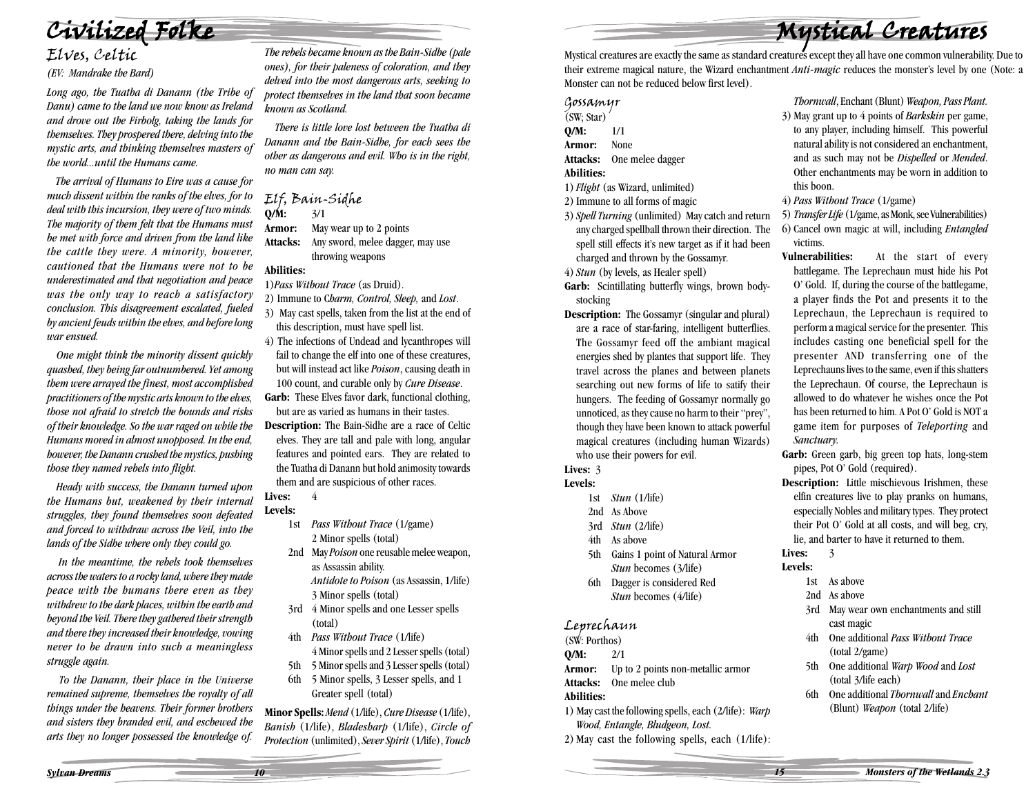Civilized Folke

# Elves, Celtic

*(EV: Mandrake the Bard)*

*Long ago, the Tuatha di Danann (the Tribe of Danu) came to the land we now know as Ireland and drove out the Firbolg, taking the lands for themselves. They prospered there, delving into the mystic arts, and thinking themselves masters of the world...until the Humans came.*

 *The arrival of Humans to Eire was a cause for much dissent within the ranks of the elves, for to deal with this incursion, they were of two minds. The majority of them felt that the Humans must be met with force and driven from the land like the cattle they were. A minority, however, cautioned that the Humans were not to be underestimated and that negotiation and peace was the only way to reach a satisfactory conclusion. This disagreement escalated, fueled by ancient feuds within the elves, and before long war ensued.*

 *One might think the minority dissent quickly quashed, they being far outnumbered. Yet among them were arrayed the finest, most accomplished practitioners of the mystic arts known to the elves, those not afraid to stretch the bounds and risks of their knowledge. So the war raged on while the Humans moved in almost unopposed. In the end, however, the Danann crushed the mystics, pushing those they named rebels into flight.*

 *Heady with success, the Danann turned upon the Humans but, weakened by their internal struggles, they found themselves soon defeated and forced to withdraw across the Veil, into the lands of the Sidhe where only they could go.*

 *In the meantime, the rebels took themselves across the waters to a rocky land, where they made peace with the humans there even as they withdrew to the dark places, within the earth and beyond the Veil. There they gathered their strength and there they increased their knowledge, vowing never to be drawn into such a meaningless struggle again.*

 *To the Danann, their place in the Universe remained supreme, themselves the royalty of all things under the heavens. Their former brothers and sisters they branded evil, and eschewed the arts they no longer possessed the knowledge of.*

*The rebels became known as the Bain-Sidhe (pale ones), for their paleness of coloration, and they delved into the most dangerous arts, seeking to protect themselves in the land that soon became known as Scotland.*

 *There is little love lost between the Tuatha di Danann and the Bain-Sidhe, for each sees the other as dangerous and evil. Who is in the right, no man can say.*

## Elf, Bain-Sidhe **Q/M:** 3/1

- **Armor:** May wear up to 2 points
- **Attacks:** Any sword, melee dagger, may use throwing weapons

**Abilities:** 1)*Pass Without Trace* (as Druid).

- 2) Immune to C*harm, Control, Sleep,* and *Lost*. 3) May cast spells, taken from the list at the end of this description, must have spell list.
- 4) The infections of Undead and lycanthropes will fail to change the elf into one of these creatures, but will instead act like *Poison*, causing death in 100 count, and curable only by *Cure Disease*.
- **Garb:** These Elves favor dark, functional clothing, but are as varied as humans in their tastes.
- **Description:** The Bain-Sidhe are a race of Celtic elves. They are tall and pale with long, angular features and pointed ears. They are related to the Tuatha di Danann but hold animosity towards them and are suspicious of other races.

#### **Lives:** 4 **Levels:**

- 1st *Pass Without Trace* (1/game) 2 Minor spells (total)
- 2nd May *Poison* one reusable melee weapon, as Assassin ability. *Antidote to Poison* (as Assassin, 1/life)
	- 3 Minor spells (total)
- 3rd 4 Minor spells and one Lesser spells (total)
- 4th *Pass Without Trace* (1/life) 4 Minor spells and 2 Lesser spells (total)
- 5th 5 Minor spells and 3 Lesser spells (total)
- 6th 5 Minor spells, 3 Lesser spells, and 1 Greater spell (total)

**Minor Spells:** *Mend* (1/life), *Cure Disease* (1/life), *Banish* (1/life), *Bladesharp* (1/life), *Circle of Protection* (unlimited), *Sever Spirit* (1/life), *Touch*

Mystical creatures are exactly the same as standard creatures except they all have one common vulnerability. Due to their extreme magical nature, the Wizard enchantment *Anti-magic* reduces the monster's level by one (Note: a Monster can not be reduced below first level).

## Gossamyr<br>(SW: Star)

- 
- **Q/M:** 1/1
- **Armor:** None
- **Attacks:** One melee dagger

#### **Abilities:**

1)*Flight* (as Wizard, unlimited)

2) Immune to all forms of magic

- 3)*Spell Turning* (unlimited) May catch and return any charged spellball thrown their direction. The spell still effects it's new target as if it had been charged and thrown by the Gossamyr.
- 4)*Stun* (by levels, as Healer spell)
- **Garb:** Scintillating butterfly wings, brown bodystocking
- **Description:** The Gossamyr (singular and plural) are a race of star-faring, intelligent butterflies. The Gossamyr feed off the ambiant magical energies shed by plantes that support life. They travel across the planes and between planets searching out new forms of life to satify their hungers. The feeding of Gossamyr normally go unnoticed, as they cause no harm to their "prey", though they have been known to attack powerful magical creatures (including human Wizards)

who use their powers for evil.

#### **Lives:** 3 **Levels:**

- 1st *Stun* (1/life)
- 2nd As Above
- 3rd *Stun* (2/life)
- 4th As above
- 5th Gains 1 point of Natural Armor *Stun* becomes (3/life)
- 6th Dagger is considered Red *Stun* becomes (4/life)

# Leprechaun (SW: Porthos)

**Q/M:** 2/1

- **Armor:** Up to 2 points non-metallic armor
- **Attacks:** One melee club **Abilities:**

1) May cast the following spells, each (2/life): *Warp Wood, Entangle, Bludgeon, Lost.*

2) May cast the following spells, each (1/life):

*Thornwall*, Enchant (Blunt) *Weapon, Pass Plant.*

Mystical Creatures

- 3) May grant up to 4 points of *Barkskin* per game, to any player, including himself. This powerful natural ability is not considered an enchantment, and as such may not be *Dispelled* or *Mended*. Other enchantments may be worn in addition to this boon.
- 4) *Pass Without Trace* (1/game)
- 5) *Transfer Life* (1/game, as Monk, see Vulnerabilities)
- 6) Cancel own magic at will, including *Entangled* victims.
- **Vulnerabilities:** At the start of every battlegame. The Leprechaun must hide his Pot O' Gold. If, during the course of the battlegame, a player finds the Pot and presents it to the Leprechaun, the Leprechaun is required to perform a magical service for the presenter. This includes casting one beneficial spell for the presenter AND transferring one of the Leprechauns lives to the same, even if this shatters the Leprechaun. Of course, the Leprechaun is allowed to do whatever he wishes once the Pot has been returned to him. A Pot O' Gold is NOT a game item for purposes of *Teleporting* and *Sanctuary.*
- Garb: Green garb, big green top hats, long-stem pipes, Pot O' Gold (required).
- **Description:** Little mischievous Irishmen, these elfin creatures live to play pranks on humans, especially Nobles and military types. They protect their Pot O' Gold at all costs, and will beg, cry, lie, and barter to have it returned to them.

#### Lives: 3

#### **Levels:**

- 1st As above
- 2nd As above
- 3rd May wear own enchantments and still cast magic
- 4th One additional *Pass Without Trace* (total 2/game)
- 5th One additional *Warp Wood* and *Lost* (total 3/life each)
- 6th One additional *Thornwall* and *Enchant* (Blunt) *Weapon* (total 2/life)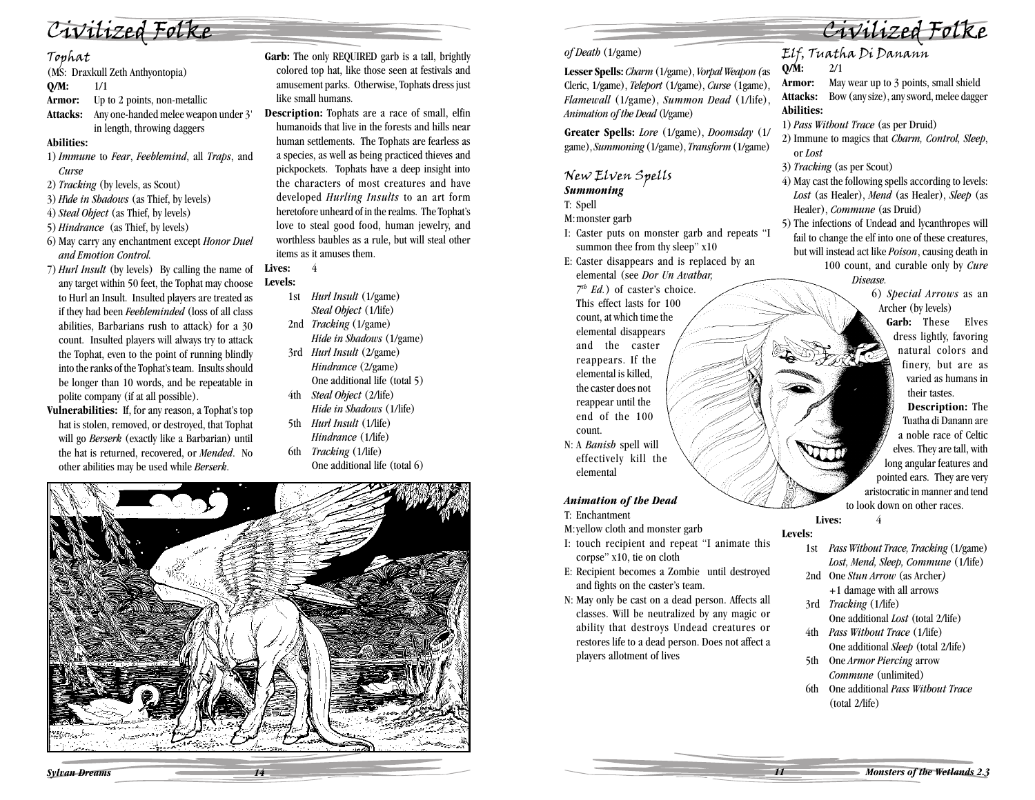

Tophat (MS: Draxkull Zeth Anthyontopia)

**Q/M:** 1/1

**Armor:** Up to 2 points, non-metallic

**Attacks:** Any one-handed melee weapon under 3' in length, throwing daggers

#### **Abilities:**

- 1)*Immune* to *Fear*, *Feeblemind*, all *Traps*, and *Curse*
- 2) *Tracking* (by levels, as Scout)
- 3) *<sup>H</sup>*i*de in Shadows* (as Thief, by levels)
- 4)*Steal Object* (as Thief, by levels)
- 5) *Hindrance* (as Thief, by levels)
- 6) May carry any enchantment except *Honor Duel and Emotion Control.*
- 7) *Hurl Insult* (by levels) By calling the name of any target within 50 feet, the Tophat may choose to Hurl an Insult. Insulted players are treated as if they had been *Feebleminded* (loss of all class abilities, Barbarians rush to attack) for a 30 count. Insulted players will always try to attack the Tophat, even to the point of running blindly into the ranks of the Tophat's team. Insults should be longer than 10 words, and be repeatable in polite company (if at all possible).
- **Vulnerabilities:** If, for any reason, a Tophat's top hat is stolen, removed, or destroyed, that Tophat will go *Berserk* (exactly like a Barbarian) until the hat is returned, recovered, or *Mended*. No other abilities may be used while *Berserk*.

Garb: The only REQUIRED garb is a tall, brightly colored top hat, like those seen at festivals and amusement parks. Otherwise, Tophats dress just like small humans.

**Description:** Tophats are a race of small, elfin humanoids that live in the forests and hills near human settlements. The Tophats are fearless as a species, as well as being practiced thieves and pickpockets. Tophats have a deep insight into the characters of most creatures and have developed *Hurling Insults* to an art form heretofore unheard of in the realms. The Tophat's love to steal good food, human jewelry, and worthless baubles as a rule, but will steal other items as it amuses them.

**Lives:** 4 **Levels:**

- 1st *Hurl Insult* (1/game) *Steal Object* (1/life) 2nd *Tracking* (1/game)
- *Hide in Shadows* (1/game) 3rd *Hurl Insult* (2/game)
- *Hindrance* (2/game) One additional life (total 5) 4th *Steal Object* (2/life)
- *Hide in Shadows* (1/life) 5th *Hurl Insult* (1/life)
- *Hindrance* (1/life) 6th *Tracking* (1/life)
	- One additional life (total 6)



#### *of Death* (1/game)

**Lesser Spells:** *Charm* (1/game), *Vorpal Weapon (*as Cleric, 1/game), *Teleport* (1/game), *Curse* (1game), *Flamewall* (1/game), *Summon Dead* (1/life), *Animation of the Dead* (l/game)

**Greater Spells:** *Lore* (1/game), *Doomsday* (1/ game), *Summoning* (1/game), *Transform* (1/game)

# New Elven Spells *Summoning*

T: Spell

M:monster garb

- I: Caster puts on monster garb and repeats "I summon thee from thy sleep"  $x10$
- E: Caster disappears and is replaced by an elemental (see *Dor Un Avathar,*

*7th Ed.*) of caster's choice. This effect lasts for 100 count, at which time the elemental disappears and the caster reappears. If the elemental is killed, the caster does not reappear until the end of the 100 count.

N: A *Banish* spell will effectively kill the elemental

#### *Animation of the Dead*

- T: Enchantment
- M:yellow cloth and monster garb
- I: touch recipient and repeat "I animate this corpse" x10, tie on cloth
- E: Recipient becomes a Zombie until destroyed and fights on the caster's team.
- N: May only be cast on a dead person. Affects all classes. Will be neutralized by any magic or ability that destroys Undead creatures or restores life to a dead person. Does not affect a players allotment of lives

# Elf, Tuatha Di Danann **Q/M:** 2/1

**Armor:** May wear up to 3 points, small shield **Attacks:** Bow (any size), any sword, melee dagger **Abilities:**

Civilized Folke

- 1) *Pass Without Trace* (as per Druid)
- 2) Immune to magics that *Charm, Control, Sleep*, or *Lost*
- 3) *Tracking* (as per Scout)
- 4) May cast the following spells according to levels: *Lost* (as Healer), *Mend* (as Healer), *Sleep* (as Healer), *Commune* (as Druid)
- 5) The infections of Undead and lycanthropes will fail to change the elf into one of these creatures, but will instead act like *Poison*, causing death in 100 count, and curable only by *Cure Disease.*

6) *Special Arrows* as an Archer (by levels)

> **Garb:** These Elves dress lightly, favoring natural colors and finery, but are as varied as humans in their tastes.

**Description:** The Tuatha di Danann are a noble race of Celtic elves. They are tall, with long angular features and pointed ears. They are very aristocratic in manner and tend to look down on other races.

**Lives:** 4

**Levels:**

- 1st *Pass Without Trace, Tracking* (1/game) *Lost, Mend, Sleep, Commune* (1/life)
- 2nd One *Stun Arrow* (as Archer*)* +1 damage with all arrows
- 3rd *Tracking* (1/life) One additional *Lost* (total 2/life)
- 4th *Pass Without Trace* (1/life) One additional *Sleep* (total 2/life)
- 5th One *Armor Piercing* arrow *Commune* (unlimited)
- 6th One additional *Pass Without Trace* (total 2/life)